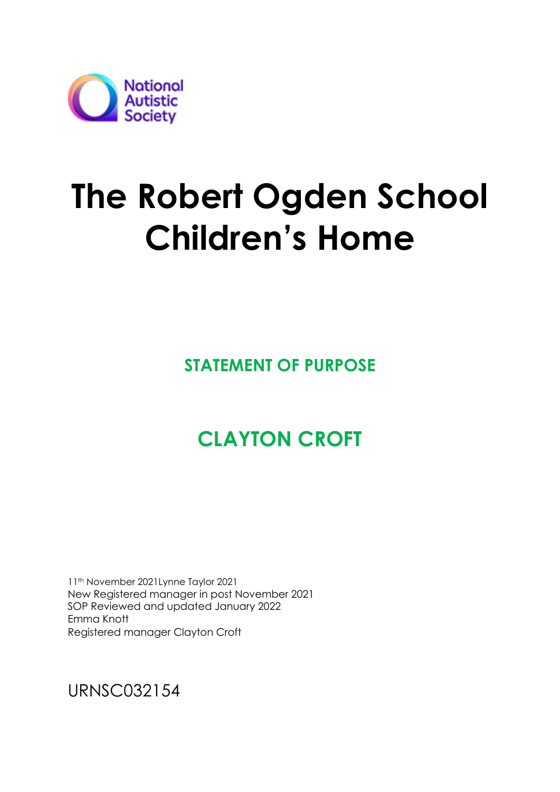

# **The Robert Ogden School Children's Home**

**STATEMENT OF PURPOSE**

# **CLAYTON CROFT**

11th November 2021Lynne Taylor 2021 New Registered manager in post November 2021 SOP Reviewed and updated January 2022 Emma Knott Registered manager Clayton Croft

URNSC032154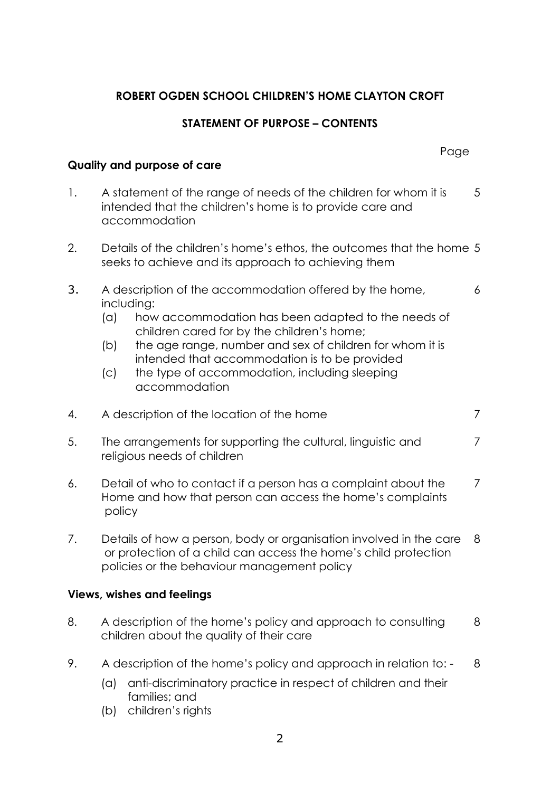# **ROBERT OGDEN SCHOOL CHILDREN'S HOME CLAYTON CROFT**

# **STATEMENT OF PURPOSE – CONTENTS**

|                                   |                                                                                                                                                                                                                                                                                                                                                                               | Page |  |  |  |  |
|-----------------------------------|-------------------------------------------------------------------------------------------------------------------------------------------------------------------------------------------------------------------------------------------------------------------------------------------------------------------------------------------------------------------------------|------|--|--|--|--|
| Quality and purpose of care       |                                                                                                                                                                                                                                                                                                                                                                               |      |  |  |  |  |
| 1.                                | $5\overline{)}$<br>A statement of the range of needs of the children for whom it is<br>intended that the children's home is to provide care and<br>accommodation                                                                                                                                                                                                              |      |  |  |  |  |
| 2.                                | Details of the children's home's ethos, the outcomes that the home 5<br>seeks to achieve and its approach to achieving them                                                                                                                                                                                                                                                   |      |  |  |  |  |
| 3.                                | A description of the accommodation offered by the home,<br>including:<br>how accommodation has been adapted to the needs of<br>(a)<br>children cared for by the children's home;<br>the age range, number and sex of children for whom it is<br>(b)<br>intended that accommodation is to be provided<br>the type of accommodation, including sleeping<br>(c)<br>accommodation | 6    |  |  |  |  |
| 4.                                | $\overline{7}$<br>A description of the location of the home                                                                                                                                                                                                                                                                                                                   |      |  |  |  |  |
| 5.                                | The arrangements for supporting the cultural, linguistic and<br>7<br>religious needs of children                                                                                                                                                                                                                                                                              |      |  |  |  |  |
| 6.                                | Detail of who to contact if a person has a complaint about the<br>7<br>Home and how that person can access the home's complaints<br>policy                                                                                                                                                                                                                                    |      |  |  |  |  |
| 7.                                | Details of how a person, body or organisation involved in the care<br>8<br>or protection of a child can access the home's child protection<br>policies or the behaviour management policy                                                                                                                                                                                     |      |  |  |  |  |
| <b>Views, wishes and feelings</b> |                                                                                                                                                                                                                                                                                                                                                                               |      |  |  |  |  |
| 8.                                | A description of the home's policy and approach to consulting<br>children about the quality of their care                                                                                                                                                                                                                                                                     | 8    |  |  |  |  |
| 9.                                | A description of the home's policy and approach in relation to: -<br>anti-discriminatory practice in respect of children and their<br>(a)<br>families; and                                                                                                                                                                                                                    | 8    |  |  |  |  |

(b) children's rights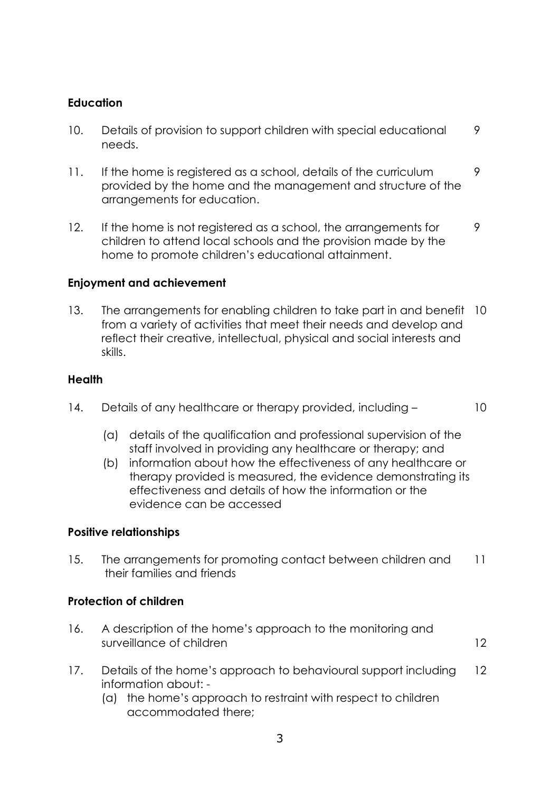# **Education**

- 10. Details of provision to support children with special educational 9 needs.
- 11. If the home is registered as a school, details of the curriculum 9 provided by the home and the management and structure of the arrangements for education.
- 12. If the home is not registered as a school, the arrangements for 9 children to attend local schools and the provision made by the home to promote children's educational attainment.

# **Enjoyment and achievement**

13. The arrangements for enabling children to take part in and benefit 10 from a variety of activities that meet their needs and develop and reflect their creative, intellectual, physical and social interests and skills.

# **Health**

- 14. Details of any healthcare or therapy provided, including 10
	- (a) details of the qualification and professional supervision of the staff involved in providing any healthcare or therapy; and
	- (b) information about how the effectiveness of any healthcare or therapy provided is measured, the evidence demonstrating its effectiveness and details of how the information or the evidence can be accessed

# **Positive relationships**

15. The arrangements for promoting contact between children and 11 their families and friends

# **Protection of children**

- 16. A description of the home's approach to the monitoring and surveillance of children 12
- 17. Details of the home's approach to behavioural support including 12 information about: -
	- (a) the home's approach to restraint with respect to children accommodated there;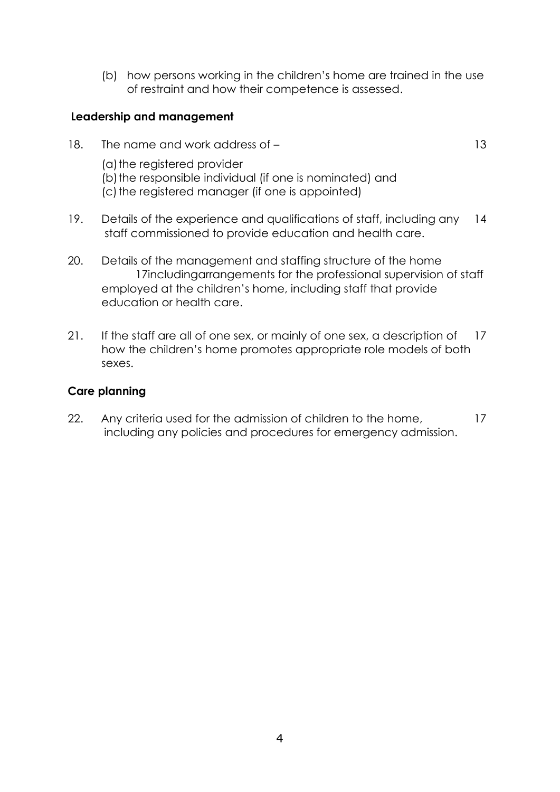(b) how persons working in the children's home are trained in the use of restraint and how their competence is assessed.

### **Leadership and management**

- 18. The name and work address of 13 (a) the registered provider (b) the responsible individual (if one is nominated) and (c) the reaistered manager (if one is appointed)
- 19. Details of the experience and qualifications of staff, including any 14 staff commissioned to provide education and health care.
- 20. Details of the management and staffing structure of the home 17includingarrangements for the professional supervision of staff employed at the children's home, including staff that provide education or health care.
- 21. If the staff are all of one sex, or mainly of one sex, a description of 17 how the children's home promotes appropriate role models of both sexes.

# **Care planning**

22. Any criteria used for the admission of children to the home, 17 including any policies and procedures for emergency admission.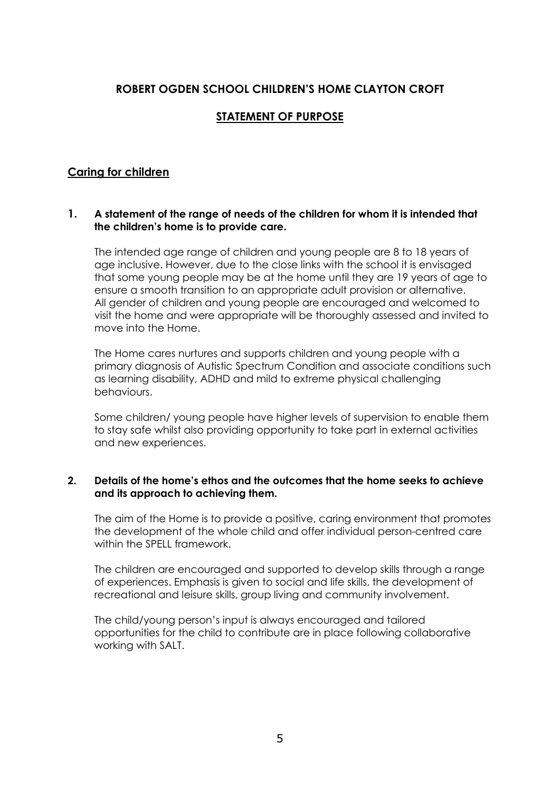# **ROBERT OGDEN SCHOOL CHILDREN'S HOME CLAYTON CROFT**

# **STATEMENT OF PURPOSE**

# **Caring for children**

#### **1. A statement of the range of needs of the children for whom it is intended that the children's home is to provide care.**

The intended age range of children and young people are 8 to 18 years of age inclusive. However, due to the close links with the school it is envisaged that some young people may be at the home until they are 19 years of age to ensure a smooth transition to an appropriate adult provision or alternative. All gender of children and young people are encouraged and welcomed to visit the home and were appropriate will be thoroughly assessed and invited to move into the Home.

The Home cares nurtures and supports children and young people with a primary diagnosis of Autistic Spectrum Condition and associate conditions such as learning disability, ADHD and mild to extreme physical challenging behaviours.

Some children/ young people have higher levels of supervision to enable them to stay safe whilst also providing opportunity to take part in external activities and new experiences.

#### **2. Details of the home's ethos and the outcomes that the home seeks to achieve and its approach to achieving them.**

The aim of the Home is to provide a positive, caring environment that promotes the development of the whole child and offer individual person-centred care within the SPELL framework.

The children are encouraged and supported to develop skills through a range of experiences. Emphasis is given to social and life skills, the development of recreational and leisure skills, group living and community involvement.

The child/young person's input is always encouraged and tailored opportunities for the child to contribute are in place following collaborative working with SALT.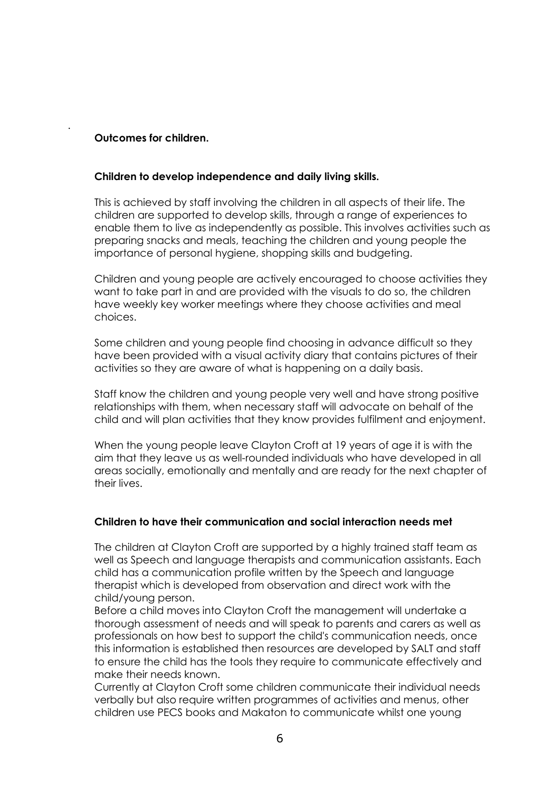#### **Outcomes for children.**

.

#### **Children to develop independence and daily living skills.**

This is achieved by staff involving the children in all aspects of their life. The children are supported to develop skills, through a range of experiences to enable them to live as independently as possible. This involves activities such as preparing snacks and meals, teaching the children and young people the importance of personal hygiene, shopping skills and budgeting.

Children and young people are actively encouraged to choose activities they want to take part in and are provided with the visuals to do so, the children have weekly key worker meetings where they choose activities and meal choices.

Some children and young people find choosing in advance difficult so they have been provided with a visual activity diary that contains pictures of their activities so they are aware of what is happening on a daily basis.

Staff know the children and young people very well and have strong positive relationships with them, when necessary staff will advocate on behalf of the child and will plan activities that they know provides fulfilment and enjoyment.

When the young people leave Clayton Croft at 19 years of age it is with the aim that they leave us as well-rounded individuals who have developed in all areas socially, emotionally and mentally and are ready for the next chapter of their lives.

#### **Children to have their communication and social interaction needs met**

The children at Clayton Croft are supported by a highly trained staff team as well as Speech and language therapists and communication assistants. Each child has a communication profile written by the Speech and language therapist which is developed from observation and direct work with the child/young person.

Before a child moves into Clayton Croft the management will undertake a thorough assessment of needs and will speak to parents and carers as well as professionals on how best to support the child's communication needs, once this information is established then resources are developed by SALT and staff to ensure the child has the tools they require to communicate effectively and make their needs known.

Currently at Clayton Croft some children communicate their individual needs verbally but also require written programmes of activities and menus, other children use PECS books and Makaton to communicate whilst one young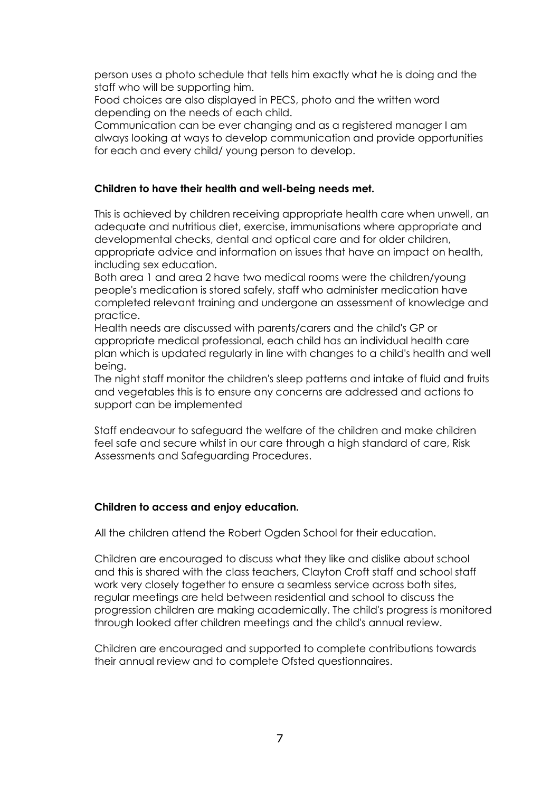person uses a photo schedule that tells him exactly what he is doing and the staff who will be supporting him.

Food choices are also displayed in PECS, photo and the written word depending on the needs of each child.

Communication can be ever changing and as a registered manager I am always looking at ways to develop communication and provide opportunities for each and every child/ young person to develop.

#### **Children to have their health and well-being needs met.**

This is achieved by children receiving appropriate health care when unwell, an adequate and nutritious diet, exercise, immunisations where appropriate and developmental checks, dental and optical care and for older children, appropriate advice and information on issues that have an impact on health, including sex education.

Both area 1 and area 2 have two medical rooms were the children/young people's medication is stored safely, staff who administer medication have completed relevant training and undergone an assessment of knowledge and practice.

Health needs are discussed with parents/carers and the child's GP or appropriate medical professional, each child has an individual health care plan which is updated regularly in line with changes to a child's health and well being.

The night staff monitor the children's sleep patterns and intake of fluid and fruits and vegetables this is to ensure any concerns are addressed and actions to support can be implemented

Staff endeavour to safeguard the welfare of the children and make children feel safe and secure whilst in our care through a high standard of care, Risk Assessments and Safeguarding Procedures.

#### **Children to access and enjoy education.**

All the children attend the Robert Oaden School for their education.

Children are encouraged to discuss what they like and dislike about school and this is shared with the class teachers, Clayton Croft staff and school staff work very closely together to ensure a seamless service across both sites, regular meetings are held between residential and school to discuss the progression children are making academically. The child's progress is monitored through looked after children meetings and the child's annual review.

Children are encouraged and supported to complete contributions towards their annual review and to complete Ofsted questionnaires.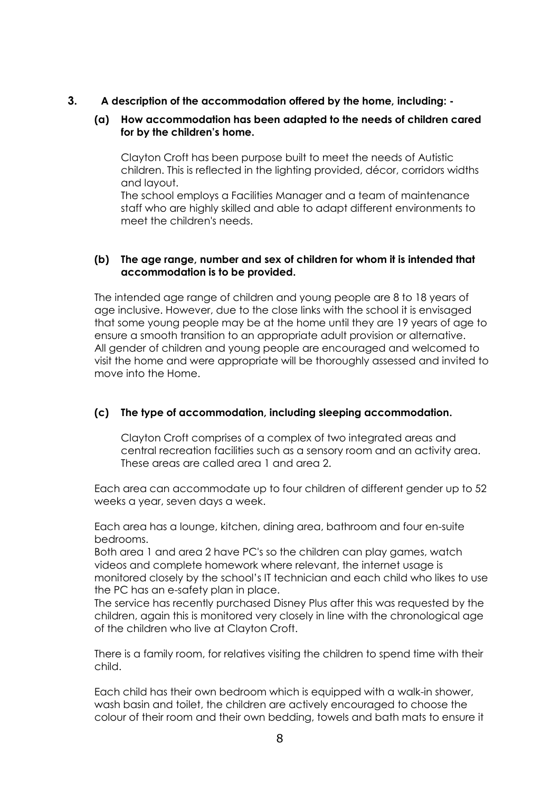**3. A description of the accommodation offered by the home, including: -**

#### **(a) How accommodation has been adapted to the needs of children cared for by the children's home.**

Clayton Croft has been purpose built to meet the needs of Autistic children. This is reflected in the lighting provided, décor, corridors widths and layout.

The school employs a Facilities Manager and a team of maintenance staff who are highly skilled and able to adapt different environments to meet the children's needs.

#### **(b) The age range, number and sex of children for whom it is intended that accommodation is to be provided.**

The intended age range of children and young people are 8 to 18 years of age inclusive. However, due to the close links with the school it is envisaged that some young people may be at the home until they are 19 years of age to ensure a smooth transition to an appropriate adult provision or alternative. All gender of children and young people are encouraged and welcomed to visit the home and were appropriate will be thoroughly assessed and invited to move into the Home.

#### **(c) The type of accommodation, including sleeping accommodation.**

Clayton Croft comprises of a complex of two integrated areas and central recreation facilities such as a sensory room and an activity area. These areas are called area 1 and area 2.

Each area can accommodate up to four children of different gender up to 52 weeks a year, seven days a week.

Each area has a lounge, kitchen, dining area, bathroom and four en-suite bedrooms.

Both area 1 and area 2 have PC's so the children can play games, watch videos and complete homework where relevant, the internet usage is monitored closely by the school's IT technician and each child who likes to use the PC has an e-safety plan in place.

The service has recently purchased Disney Plus after this was requested by the children, again this is monitored very closely in line with the chronological age of the children who live at Clayton Croft.

There is a family room, for relatives visiting the children to spend time with their child.

Each child has their own bedroom which is equipped with a walk-in shower, wash basin and toilet, the children are actively encouraged to choose the colour of their room and their own bedding, towels and bath mats to ensure it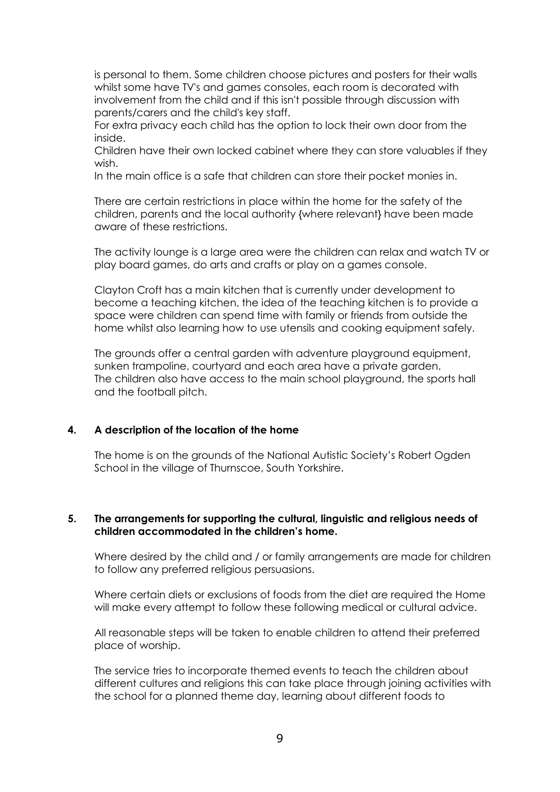is personal to them. Some children choose pictures and posters for their walls whilst some have TV's and games consoles, each room is decorated with involvement from the child and if this isn't possible through discussion with parents/carers and the child's key staff.

For extra privacy each child has the option to lock their own door from the inside.

Children have their own locked cabinet where they can store valuables if they wish.

In the main office is a safe that children can store their pocket monies in.

There are certain restrictions in place within the home for the safety of the children, parents and the local authority {where relevant} have been made aware of these restrictions.

The activity lounge is a large area were the children can relax and watch TV or play board games, do arts and crafts or play on a games console.

Clayton Croft has a main kitchen that is currently under development to become a teaching kitchen, the idea of the teaching kitchen is to provide a space were children can spend time with family or friends from outside the home whilst also learning how to use utensils and cooking equipment safely.

The grounds offer a central garden with adventure playground equipment, sunken trampoline, courtyard and each area have a private garden. The children also have access to the main school playground, the sports hall and the football pitch.

#### **4. A description of the location of the home**

The home is on the grounds of the National Autistic Society's Robert Ogden School in the village of Thurnscoe, South Yorkshire.

#### **5. The arrangements for supporting the cultural, linguistic and religious needs of children accommodated in the children's home.**

Where desired by the child and / or family arrangements are made for children to follow any preferred religious persuasions.

Where certain diets or exclusions of foods from the diet are required the Home will make every attempt to follow these following medical or cultural advice.

All reasonable steps will be taken to enable children to attend their preferred place of worship.

The service tries to incorporate themed events to teach the children about different cultures and religions this can take place through joining activities with the school for a planned theme day, learning about different foods to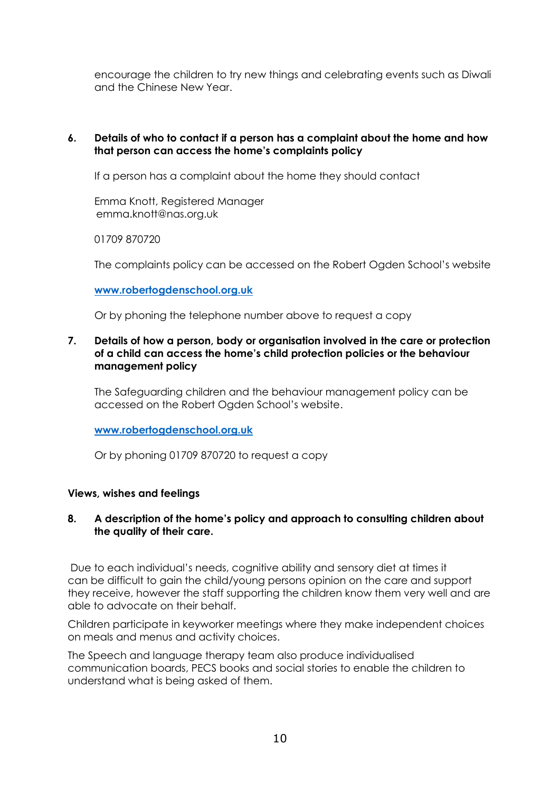encourage the children to try new things and celebrating events such as Diwali and the Chinese New Year.

#### **6. Details of who to contact if a person has a complaint about the home and how that person can access the home's complaints policy**

If a person has a complaint about the home they should contact

Emma Knott, Registered Manager emma.knott@nas.org.uk

01709 870720

The complaints policy can be accessed on the Robert Ogden School's website

#### **[www.robertogdenschool.org.uk](http://www.robertogdenschool.org.uk/)**

Or by phoning the telephone number above to request a copy

#### **7. Details of how a person, body or organisation involved in the care or protection of a child can access the home's child protection policies or the behaviour management policy**

The Safeguarding children and the behaviour management policy can be accessed on the Robert Ogden School's website.

#### **[www.robertogdenschool.org.uk](http://www.robertogdenschool.org.uk/)**

Or by phoning 01709 870720 to request a copy

#### **Views, wishes and feelings**

#### **8. A description of the home's policy and approach to consulting children about the quality of their care.**

Due to each individual's needs, cognitive ability and sensory diet at times it can be difficult to gain the child/young persons opinion on the care and support they receive, however the staff supporting the children know them very well and are able to advocate on their behalf.

Children participate in keyworker meetings where they make independent choices on meals and menus and activity choices.

The Speech and language therapy team also produce individualised communication boards, PECS books and social stories to enable the children to understand what is being asked of them.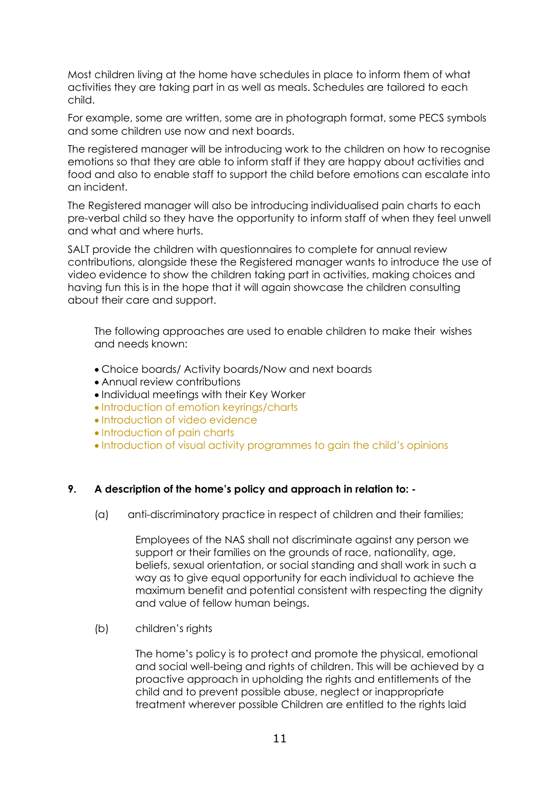Most children living at the home have schedules in place to inform them of what activities they are taking part in as well as meals. Schedules are tailored to each child.

For example, some are written, some are in photograph format, some PECS symbols and some children use now and next boards.

The registered manager will be introducing work to the children on how to recognise emotions so that they are able to inform staff if they are happy about activities and food and also to enable staff to support the child before emotions can escalate into an incident.

The Registered manager will also be introducing individualised pain charts to each pre-verbal child so they have the opportunity to inform staff of when they feel unwell and what and where hurts.

SALT provide the children with questionnaires to complete for annual review contributions, alongside these the Registered manager wants to introduce the use of video evidence to show the children taking part in activities, making choices and having fun this is in the hope that it will again showcase the children consulting about their care and support.

The following approaches are used to enable children to make their wishes and needs known:

- Choice boards/ Activity boards/Now and next boards
- Annual review contributions
- Individual meetings with their Key Worker
- Introduction of emotion keyrings/charts
- Introduction of video evidence
- Introduction of pain charts
- Introduction of visual activity programmes to gain the child's opinions

#### **9. A description of the home's policy and approach in relation to: -**

(a) anti-discriminatory practice in respect of children and their families;

Employees of the NAS shall not discriminate against any person we support or their families on the grounds of race, nationality, age, beliefs, sexual orientation, or social standing and shall work in such a way as to give equal opportunity for each individual to achieve the maximum benefit and potential consistent with respecting the dignity and value of fellow human beings.

(b) children's rights

The home's policy is to protect and promote the physical, emotional and social well-being and rights of children. This will be achieved by a proactive approach in upholding the rights and entitlements of the child and to prevent possible abuse, neglect or inappropriate treatment wherever possible Children are entitled to the rights laid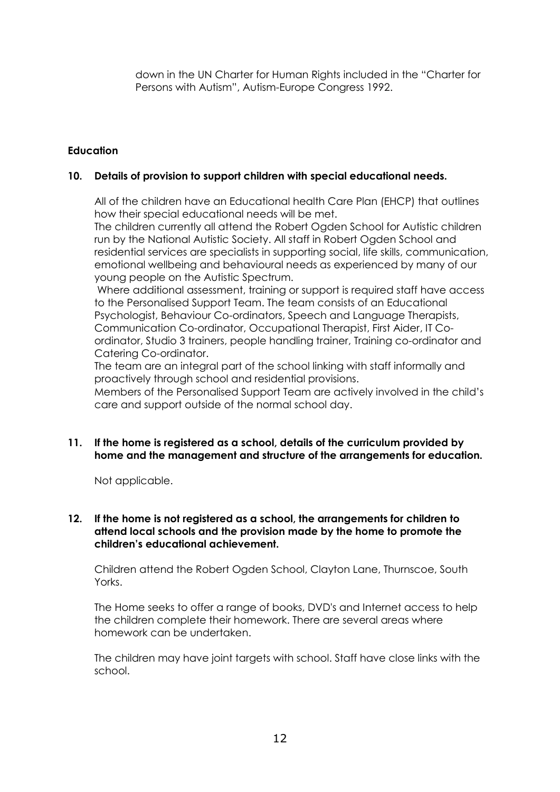down in the UN Charter for Human Rights included in the "Charter for Persons with Autism", Autism-Europe Congress 1992.

# **Education**

#### **10. Details of provision to support children with special educational needs.**

All of the children have an Educational health Care Plan (EHCP) that outlines how their special educational needs will be met.

The children currently all attend the Robert Ogden School for Autistic children run by the National Autistic Society. All staff in Robert Ogden School and residential services are specialists in supporting social, life skills, communication, emotional wellbeing and behavioural needs as experienced by many of our young people on the Autistic Spectrum.

Where additional assessment, training or support is required staff have access to the Personalised Support Team. The team consists of an Educational Psychologist, Behaviour Co-ordinators, Speech and Language Therapists, Communication Co-ordinator, Occupational Therapist, First Aider, IT Coordinator, Studio 3 trainers, people handling trainer, Training co-ordinator and Catering Co-ordinator.

The team are an integral part of the school linking with staff informally and proactively through school and residential provisions.

Members of the Personalised Support Team are actively involved in the child's care and support outside of the normal school day.

#### **11. If the home is registered as a school, details of the curriculum provided by home and the management and structure of the arrangements for education.**

Not applicable.

#### **12. If the home is not registered as a school, the arrangements for children to attend local schools and the provision made by the home to promote the children's educational achievement.**

Children attend the Robert Ogden School, Clayton Lane, Thurnscoe, South Yorks.

The Home seeks to offer a range of books, DVD's and Internet access to help the children complete their homework. There are several areas where homework can be undertaken.

The children may have joint targets with school. Staff have close links with the school.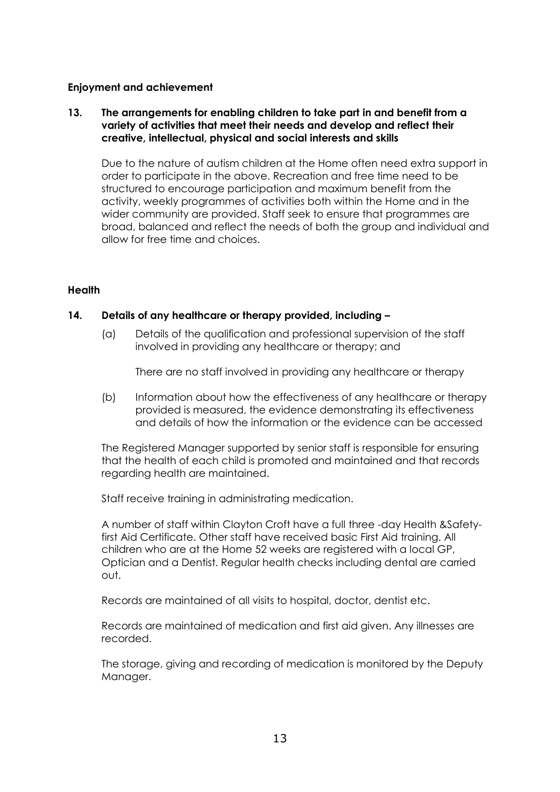#### **Enjoyment and achievement**

#### **13. The arrangements for enabling children to take part in and benefit from a variety of activities that meet their needs and develop and reflect their creative, intellectual, physical and social interests and skills**

Due to the nature of autism children at the Home often need extra support in order to participate in the above. Recreation and free time need to be structured to encourage participation and maximum benefit from the activity, weekly programmes of activities both within the Home and in the wider community are provided. Staff seek to ensure that programmes are broad, balanced and reflect the needs of both the group and individual and allow for free time and choices.

#### **Health**

#### **14. Details of any healthcare or therapy provided, including –**

(a) Details of the qualification and professional supervision of the staff involved in providing any healthcare or therapy; and

There are no staff involved in providing any healthcare or therapy

(b) Information about how the effectiveness of any healthcare or therapy provided is measured, the evidence demonstrating its effectiveness and details of how the information or the evidence can be accessed

The Registered Manager supported by senior staff is responsible for ensuring that the health of each child is promoted and maintained and that records regarding health are maintained.

Staff receive training in administrating medication.

A number of staff within Clayton Croft have a full three -day Health &Safetyfirst Aid Certificate. Other staff have received basic First Aid training. All children who are at the Home 52 weeks are registered with a local GP, Optician and a Dentist. Regular health checks including dental are carried out.

Records are maintained of all visits to hospital, doctor, dentist etc.

Records are maintained of medication and first aid given. Any illnesses are recorded.

The storage, giving and recording of medication is monitored by the Deputy Manager.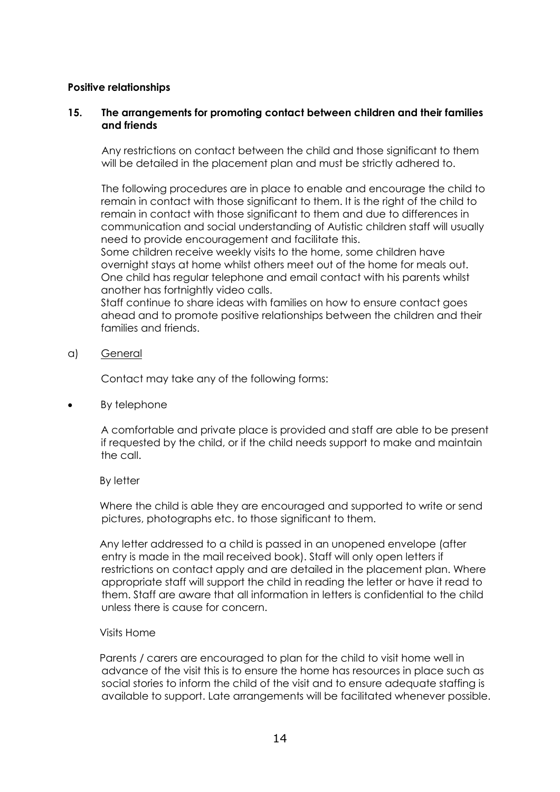#### **Positive relationships**

#### **15. The arrangements for promoting contact between children and their families and friends**

Any restrictions on contact between the child and those significant to them will be detailed in the placement plan and must be strictly adhered to.

The following procedures are in place to enable and encourage the child to remain in contact with those significant to them. It is the right of the child to remain in contact with those significant to them and due to differences in communication and social understanding of Autistic children staff will usually need to provide encouragement and facilitate this.

Some children receive weekly visits to the home, some children have overnight stays at home whilst others meet out of the home for meals out. One child has regular telephone and email contact with his parents whilst another has fortnightly video calls.

Staff continue to share ideas with families on how to ensure contact goes ahead and to promote positive relationships between the children and their families and friends.

a) General

Contact may take any of the following forms:

By telephone

A comfortable and private place is provided and staff are able to be present if requested by the child, or if the child needs support to make and maintain the call.

By letter

Where the child is able they are encouraged and supported to write or send pictures, photographs etc. to those significant to them.

Any letter addressed to a child is passed in an unopened envelope (after entry is made in the mail received book). Staff will only open letters if restrictions on contact apply and are detailed in the placement plan. Where appropriate staff will support the child in reading the letter or have it read to them. Staff are aware that all information in letters is confidential to the child unless there is cause for concern.

#### Visits Home

Parents / carers are encouraged to plan for the child to visit home well in advance of the visit this is to ensure the home has resources in place such as social stories to inform the child of the visit and to ensure adequate staffing is available to support. Late arrangements will be facilitated whenever possible.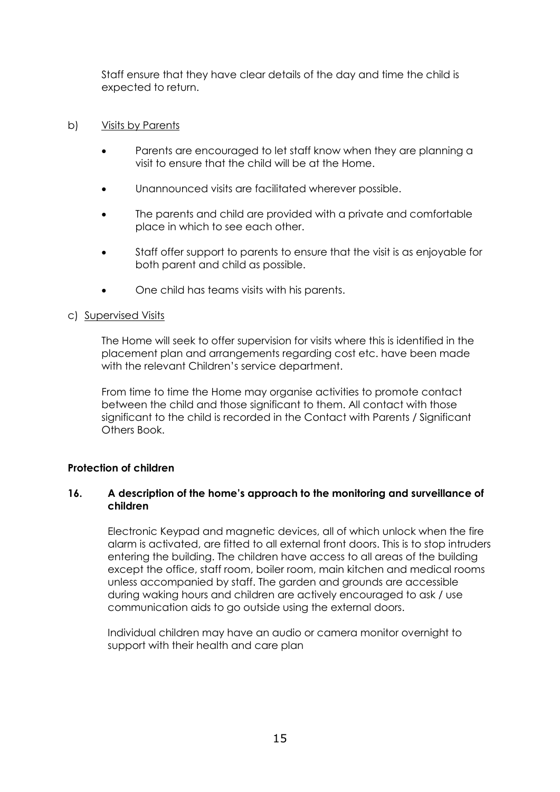Staff ensure that they have clear details of the day and time the child is expected to return.

#### b) Visits by Parents

- Parents are encouraged to let staff know when they are planning a visit to ensure that the child will be at the Home.
- Unannounced visits are facilitated wherever possible.
- The parents and child are provided with a private and comfortable place in which to see each other.
- Staff offer support to parents to ensure that the visit is as enjoyable for both parent and child as possible.
- One child has teams visits with his parents.

#### c) Supervised Visits

The Home will seek to offer supervision for visits where this is identified in the placement plan and arrangements regarding cost etc. have been made with the relevant Children's service department.

From time to time the Home may organise activities to promote contact between the child and those significant to them. All contact with those significant to the child is recorded in the Contact with Parents / Significant Others Book.

#### **Protection of children**

#### **16. A description of the home's approach to the monitoring and surveillance of children**

Electronic Keypad and magnetic devices, all of which unlock when the fire alarm is activated, are fitted to all external front doors. This is to stop intruders entering the building. The children have access to all areas of the building except the office, staff room, boiler room, main kitchen and medical rooms unless accompanied by staff. The garden and grounds are accessible during waking hours and children are actively encouraged to ask / use communication aids to go outside using the external doors.

Individual children may have an audio or camera monitor overnight to support with their health and care plan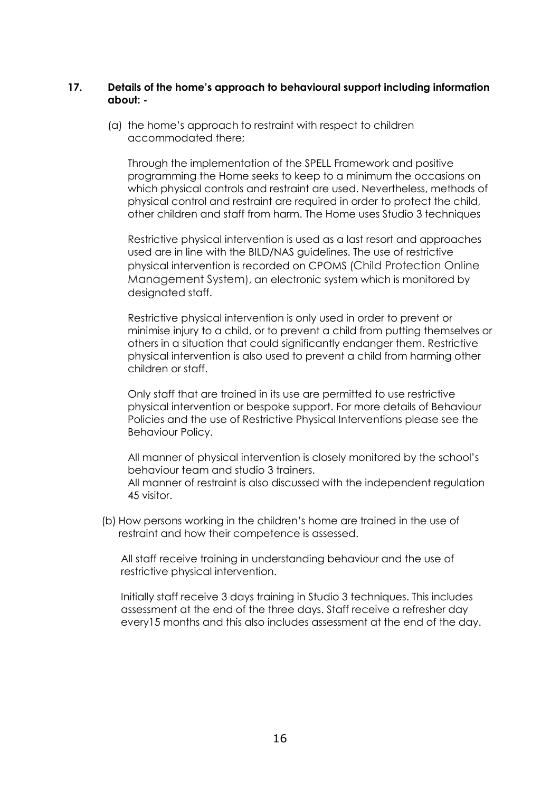#### **17. Details of the home's approach to behavioural support including information about: -**

(a) the home's approach to restraint with respect to children accommodated there;

Through the implementation of the SPELL Framework and positive programming the Home seeks to keep to a minimum the occasions on which physical controls and restraint are used. Nevertheless, methods of physical control and restraint are required in order to protect the child, other children and staff from harm. The Home uses Studio 3 techniques

Restrictive physical intervention is used as a last resort and approaches used are in line with the BILD/NAS guidelines. The use of restrictive physical intervention is recorded on CPOMS (Child Protection Online Management System), an electronic system which is monitored by designated staff.

Restrictive physical intervention is only used in order to prevent or minimise injury to a child, or to prevent a child from putting themselves or others in a situation that could significantly endanger them. Restrictive physical intervention is also used to prevent a child from harming other children or staff.

Only staff that are trained in its use are permitted to use restrictive physical intervention or bespoke support. For more details of Behaviour Policies and the use of Restrictive Physical Interventions please see the Behaviour Policy.

All manner of physical intervention is closely monitored by the school's behaviour team and studio 3 trainers. All manner of restraint is also discussed with the independent regulation 45 visitor.

(b) How persons working in the children's home are trained in the use of restraint and how their competence is assessed.

All staff receive training in understanding behaviour and the use of restrictive physical intervention.

Initially staff receive 3 days training in Studio 3 techniques. This includes assessment at the end of the three days. Staff receive a refresher day every15 months and this also includes assessment at the end of the day.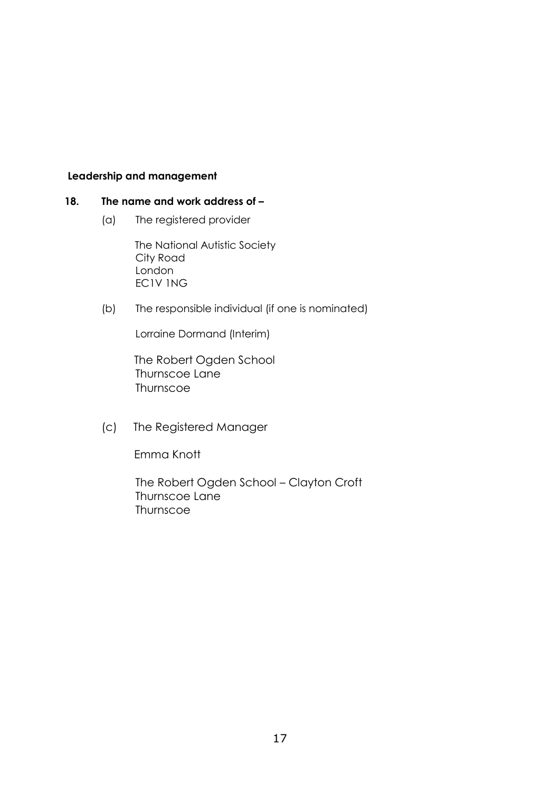#### **Leadership and management**

#### **18. The name and work address of –**

(a) The registered provider

The National Autistic Society City Road London EC1V 1NG

(b) The responsible individual (if one is nominated)

Lorraine Dormand (Interim)

 The Robert Ogden School Thurnscoe Lane **Thurnscoe** 

(c) The Registered Manager

Emma Knott

The Robert Ogden School – Clayton Croft Thurnscoe Lane Thurnscoe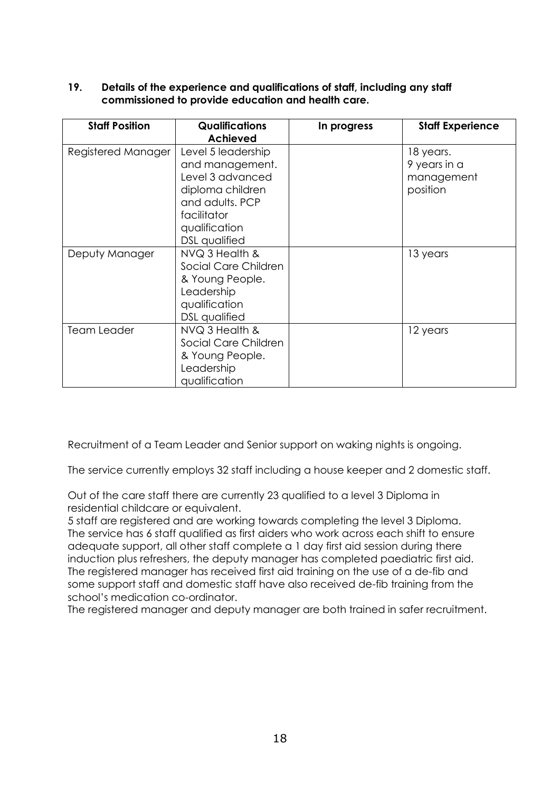#### **19. Details of the experience and qualifications of staff, including any staff commissioned to provide education and health care.**

| <b>Staff Position</b> | <b>Qualifications</b><br><b>Achieved</b>                                                                                                                 | In progress | <b>Staff Experience</b>                             |
|-----------------------|----------------------------------------------------------------------------------------------------------------------------------------------------------|-------------|-----------------------------------------------------|
| Registered Manager    | Level 5 leadership<br>and management.<br>Level 3 advanced<br>diploma children<br>and adults. PCP<br>facilitator<br>qualification<br><b>DSL</b> qualified |             | 18 years.<br>9 years in a<br>management<br>position |
| Deputy Manager        | NVQ 3 Health &<br>Social Care Children<br>& Young People.<br>Leadership<br>qualification<br><b>DSL</b> qualified                                         |             | 13 years                                            |
| <b>Team Leader</b>    | NVQ 3 Health &<br>Social Care Children<br>& Young People.<br>Leadership<br>qualification                                                                 |             | 12 years                                            |

Recruitment of a Team Leader and Senior support on waking nights is ongoing.

The service currently employs 32 staff including a house keeper and 2 domestic staff.

Out of the care staff there are currently 23 qualified to a level 3 Diploma in residential childcare or equivalent.

5 staff are registered and are working towards completing the level 3 Diploma. The service has 6 staff qualified as first aiders who work across each shift to ensure adequate support, all other staff complete a 1 day first aid session during there induction plus refreshers, the deputy manager has completed paediatric first aid. The registered manager has received first aid training on the use of a de-fib and some support staff and domestic staff have also received de-fib training from the school's medication co-ordinator.

The registered manager and deputy manager are both trained in safer recruitment.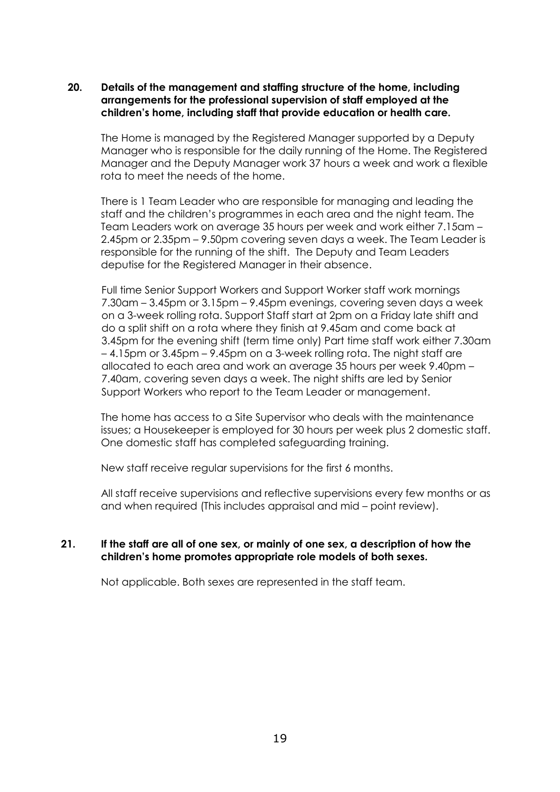#### **20. Details of the management and staffing structure of the home, including arrangements for the professional supervision of staff employed at the children's home, including staff that provide education or health care.**

The Home is managed by the Registered Manager supported by a Deputy Manager who is responsible for the daily running of the Home. The Registered Manager and the Deputy Manager work 37 hours a week and work a flexible rota to meet the needs of the home.

There is 1 Team Leader who are responsible for managing and leading the staff and the children's programmes in each area and the night team. The Team Leaders work on average 35 hours per week and work either 7.15am – 2.45pm or 2.35pm – 9.50pm covering seven days a week. The Team Leader is responsible for the running of the shift. The Deputy and Team Leaders deputise for the Registered Manager in their absence.

Full time Senior Support Workers and Support Worker staff work mornings 7.30am – 3.45pm or 3.15pm – 9.45pm evenings, covering seven days a week on a 3-week rolling rota. Support Staff start at 2pm on a Friday late shift and do a split shift on a rota where they finish at 9.45am and come back at 3.45pm for the evening shift (term time only) Part time staff work either 7.30am – 4.15pm or 3.45pm – 9.45pm on a 3-week rolling rota. The night staff are allocated to each area and work an average 35 hours per week 9.40pm – 7.40am, covering seven days a week. The night shifts are led by Senior Support Workers who report to the Team Leader or management.

The home has access to a Site Supervisor who deals with the maintenance issues; a Housekeeper is employed for 30 hours per week plus 2 domestic staff. One domestic staff has completed safeguarding training.

New staff receive regular supervisions for the first 6 months.

All staff receive supervisions and reflective supervisions every few months or as and when required (This includes appraisal and mid – point review).

#### **21. If the staff are all of one sex, or mainly of one sex, a description of how the children's home promotes appropriate role models of both sexes.**

Not applicable. Both sexes are represented in the staff team.